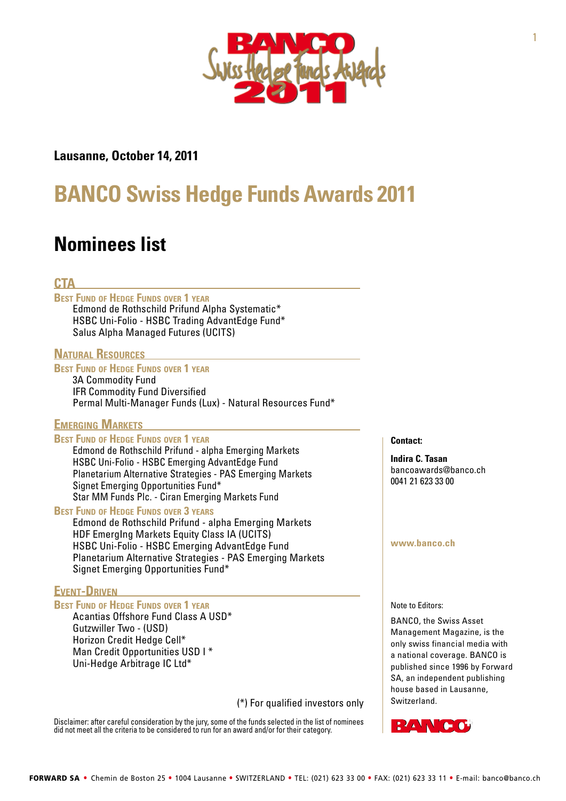

## **Lausanne, October 14, 2011**

# **BANCO Swiss Hedge Funds Awards 2011**

## **Nominees list**

## **CTA**

**Best Fund of Hedge Funds over 1 year** Edmond de Rothschild Prifund Alpha Systematic\*

HSBC Uni-Folio - HSBC Trading AdvantEdge Fund\* Salus Alpha Managed Futures (UCITS)

## **Natural Resources**

## **Best Fund of Hedge Funds over 1 year**

3A Commodity Fund IFR Commodity Fund Diversified Permal Multi-Manager Funds (Lux) - Natural Resources Fund\*

## **Emerging Markets**

#### **Best Fund of Hedge Funds over 1 year**

Edmond de Rothschild Prifund - alpha Emerging Markets HSBC Uni-Folio - HSBC Emerging AdvantEdge Fund Planetarium Alternative Strategies - PAS Emerging Markets Signet Emerging Opportunities Fund\* Star MM Funds Plc. - Ciran Emerging Markets Fund

#### **Best Fund of Hedge Funds over 3 years**

Edmond de Rothschild Prifund - alpha Emerging Markets HDF EmergIng Markets Equity Class IA (UCITS) HSBC Uni-Folio - HSBC Emerging AdvantEdge Fund Planetarium Alternative Strategies - PAS Emerging Markets Signet Emerging Opportunities Fund\*

### **Event-Driven**

#### **Best Fund of Hedge Funds over 1 year**

Acantias Offshore Fund Class A USD\* Gutzwiller Two - (USD) Horizon Credit Hedge Cell\* Man Credit Opportunities USD I \* Uni-Hedge Arbitrage IC Ltd\*

(\*) For qualified investors only

Disclaimer: after careful consideration by the jury, some of the funds selected in the list of nominees did not meet all the criteria to be considered to run for an award and/or for their category.

**Contact:**

**Indira C. Tasan**  [bancoawards@banco.ch](mailto:bancoawards@banco.ch) 0041 21 623 33 00

#### **[www.banco.ch](http://www.banco.ch/)**

Note to Editors:

BANCO, the Swiss Asset Management Magazine, is the only swiss financial media with a national coverage. BANCO is published since 1996 by Forward SA, an independent publishing house based in Lausanne, Switzerland.

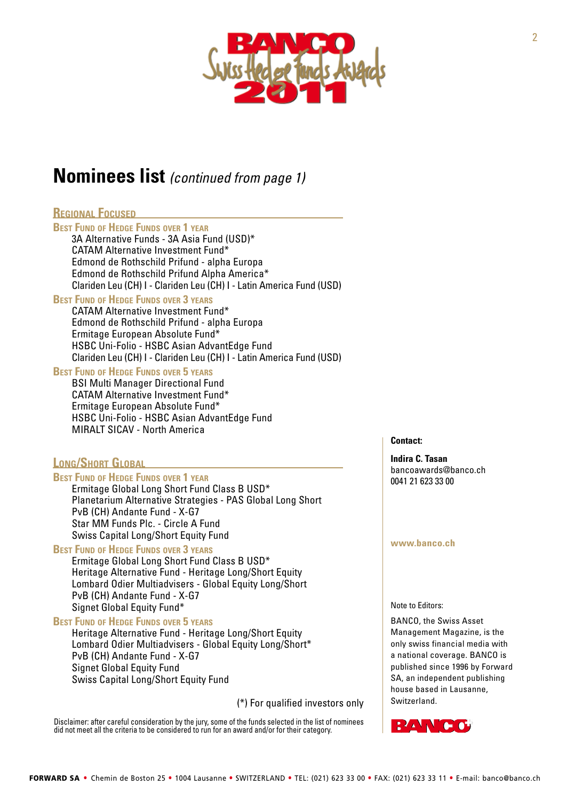

## **Nominees list** *(continued from page 1)*

## **Regional Focused**

#### **Best Fund of Hedge Funds over 1 year**

3A Alternative Funds - 3A Asia Fund (USD)\* CATAM Alternative Investment Fund\* Edmond de Rothschild Prifund - alpha Europa Edmond de Rothschild Prifund Alpha America\* Clariden Leu (CH) I - Clariden Leu (CH) I - Latin America Fund (USD)

#### **Best Fund of Hedge Funds over 3 years**

CATAM Alternative Investment Fund\* Edmond de Rothschild Prifund - alpha Europa Ermitage European Absolute Fund\* HSBC Uni-Folio - HSBC Asian AdvantEdge Fund Clariden Leu (CH) I - Clariden Leu (CH) I - Latin America Fund (USD)

## **Best Fund of Hedge Funds over 5 years**

BSI Multi Manager Directional Fund CATAM Alternative Investment Fund\* Ermitage European Absolute Fund\* HSBC Uni-Folio - HSBC Asian AdvantEdge Fund MIRALT SICAV - North America

## **Long/Short Global**

#### **Best Fund of Hedge Funds over 1 year**

Ermitage Global Long Short Fund Class B USD\* Planetarium Alternative Strategies - PAS Global Long Short PvB (CH) Andante Fund - X-G7 Star MM Funds Plc. - Circle A Fund Swiss Capital Long/Short Equity Fund

### **Best Fund of Hedge Funds over 3 years**

Ermitage Global Long Short Fund Class B USD\* Heritage Alternative Fund - Heritage Long/Short Equity Lombard Odier Multiadvisers - Global Equity Long/Short PvB (CH) Andante Fund - X-G7 Signet Global Equity Fund\*

## **Best Fund of Hedge Funds over 5 years**

Heritage Alternative Fund - Heritage Long/Short Equity Lombard Odier Multiadvisers - Global Equity Long/Short\* PvB (CH) Andante Fund - X-G7 Signet Global Equity Fund Swiss Capital Long/Short Equity Fund

(\*) For qualified investors only

Disclaimer: after careful consideration by the jury, some of the funds selected in the list of nominees did not meet all the criteria to be considered to run for an award and/or for their category.

**Contact:**

**Indira C. Tasan**  [bancoawards@banco.ch](mailto:bancoawards@banco.ch) 0041 21 623 33 00

#### **[www.banco.ch](http://www.banco.ch/)**

Note to Editors:

BANCO, the Swiss Asset Management Magazine, is the only swiss financial media with a national coverage. BANCO is published since 1996 by Forward SA, an independent publishing house based in Lausanne, Switzerland.